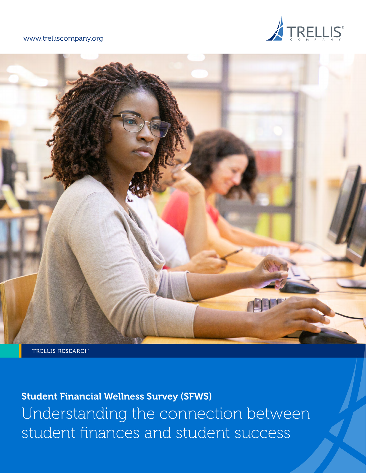### [www.trelliscompany.org](http://www.trelliscompany.org)





TRELLIS RESEARCH

Student Financial Wellness Survey (SFWS) Understanding the connection between student finances and student success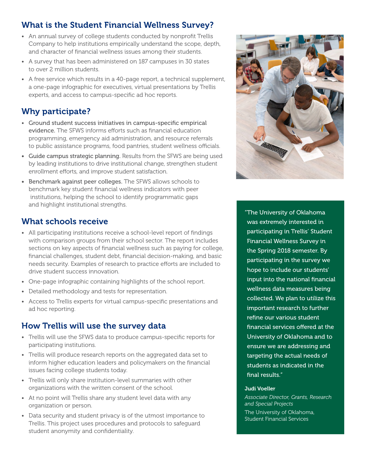# What is the Student Financial Wellness Survey?

- An annual survey of college students conducted by nonprofit Trellis Company to help institutions empirically understand the scope, depth, and character of financial wellness issues among their students.
- A survey that has been administered on 187 campuses in 30 states to over 2 million students.
- A free service which results in a 40-page report, a technical supplement, a one-page infographic for executives, virtual presentations by Trellis experts, and access to campus-specific ad hoc reports.

# Why participate?

- Ground student success initiatives in campus-specific empirical evidence. The SFWS informs efforts such as financial education programming, emergency aid administration, and resource referrals to public assistance programs, food pantries, student wellness officials.
- Guide campus strategic planning. Results from the SFWS are being used by leading institutions to drive institutional change, strengthen student enrollment efforts, and improve student satisfaction.
- Benchmark against peer colleges. The SFWS allows schools to benchmark key student financial wellness indicators with peer institutions, helping the school to identify programmatic gaps and highlight institutional strengths.

# What schools receive

- All participating institutions receive a school-level report of findings with comparison groups from their school sector. The report includes sections on key aspects of financial wellness such as paying for college, financial challenges, student debt, financial decision-making, and basic needs security. Examples of research to practice efforts are included to drive student success innovation.
- One-page infographic containing highlights of the school report.
- Detailed methodology and tests for representation.
- Access to Trellis experts for virtual campus-specific presentations and ad hoc reporting.

# How Trellis will use the survey data

- Trellis will use the SFWS data to produce campus-specific reports for participating institutions.
- Trellis will produce research reports on the aggregated data set to inform higher education leaders and policymakers on the financial issues facing college students today.
- Trellis will only share institution-level summaries with other organizations with the written consent of the school.
- At no point will Trellis share any student level data with any organization or person.
- Data security and student privacy is of the utmost importance to Trellis. This project uses procedures and protocols to safeguard student anonymity and confidentiality.



"The University of Oklahoma was extremely interested in participating in Trellis' Student Financial Wellness Survey in the Spring 2018 semester. By participating in the survey we hope to include our students' input into the national financial wellness data measures being collected. We plan to utilize this important research to further refine our various student financial services offered at the University of Oklahoma and to ensure we are addressing and targeting the actual needs of students as indicated in the final results."

#### Judi Voeller

*Associate Director, Grants, Research and Special Projects*  The University of Oklahoma, Student Financial Services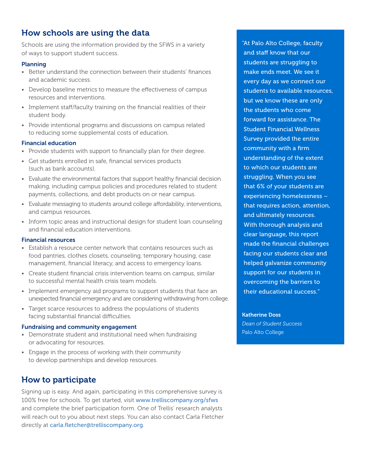# How schools are using the data

Schools are using the information provided by the SFWS in a variety of ways to support student success.

### Planning

- Better understand the connection between their students' finances and academic success.
- Develop baseline metrics to measure the effectiveness of campus resources and interventions.
- Implement staff/faculty training on the financial realities of their student body.
- Provide intentional programs and discussions on campus related to reducing some supplemental costs of education.

#### Financial education

- Provide students with support to financially plan for their degree.
- Get students enrolled in safe, financial services products (such as bank accounts).
- Evaluate the environmental factors that support healthy financial decision making, including campus policies and procedures related to student payments, collections, and debt products on or near campus.
- Evaluate messaging to students around college affordability, interventions, and campus resources.
- Inform topic areas and instructional design for student loan counseling and financial education interventions.

#### Financial resources

- Establish a resource center network that contains resources such as food pantries, clothes closets, counseling, temporary housing, case management, financial literacy, and access to emergency loans.
- Create student financial crisis intervention teams on campus, similar to successful mental health crisis team models.
- Implement emergency aid programs to support students that face an unexpected financial emergency and are considering withdrawing from college.
- Target scarce resources to address the populations of students facing substantial financial difficulties.

#### Fundraising and community engagement

- Demonstrate student and institutional need when fundraising or advocating for resources.
- Engage in the process of working with their community to develop partnerships and develop resources.

### How to participate

Signing up is easy. And again, participating in this comprehensive survey is 100% free for schools. To get started, visit [www.trelliscompany.org/s](mailto:www.trelliscompany.org/SFWS?subject=)fws and complete the brief participation form. One of Trellis' research analysts will reach out to you about next steps. You can also contact Carla Fletcher directly at [carla.fletcher@trelliscompany.org](mailto:carla.fletcher%40trelliscompany.org?subject=).

"At Palo Alto College, faculty and staff know that our students are struggling to make ends meet. We see it every day as we connect our students to available resources, but we know these are only the students who come forward for assistance. The Student Financial Wellness Survey provided the entire community with a firm understanding of the extent to which our students are struggling. When you see that 6% of your students are experiencing homelessness – that requires action, attention, and ultimately resources. With thorough analysis and clear language, this report made the financial challenges facing our students clear and helped galvanize community support for our students in overcoming the barriers to their educational success."

Katherine Doss *Dean of Student Success*  Palo Alto College